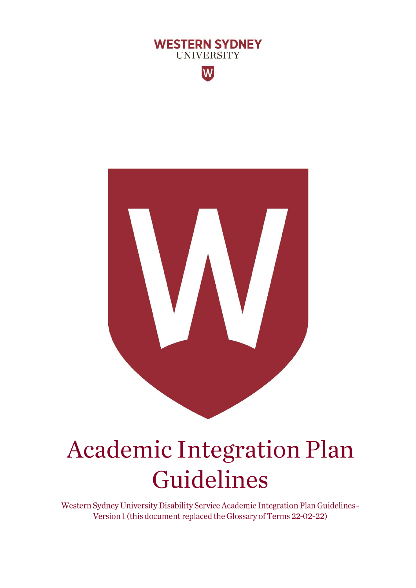



# **Academic Integration Plan** Guidelines

Western Sydney University Disability Service Academic Integration Plan Guidelines-Version 1 (this document replaced the Glossary of Terms 22-02-22)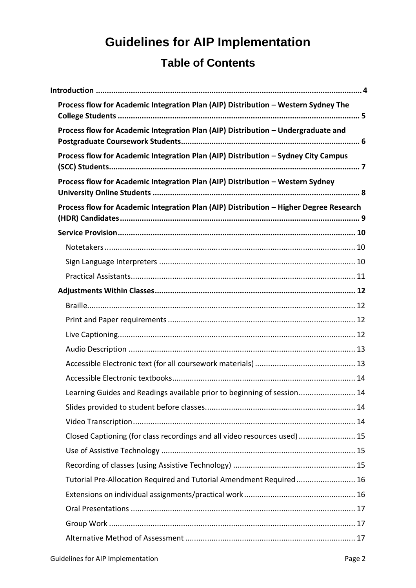# **Guidelines for AIP Implementation Table of Contents**

| Process flow for Academic Integration Plan (AIP) Distribution - Western Sydney The     |  |
|----------------------------------------------------------------------------------------|--|
| Process flow for Academic Integration Plan (AIP) Distribution - Undergraduate and      |  |
| Process flow for Academic Integration Plan (AIP) Distribution - Sydney City Campus     |  |
| Process flow for Academic Integration Plan (AIP) Distribution - Western Sydney         |  |
| Process flow for Academic Integration Plan (AIP) Distribution - Higher Degree Research |  |
|                                                                                        |  |
|                                                                                        |  |
|                                                                                        |  |
|                                                                                        |  |
|                                                                                        |  |
|                                                                                        |  |
|                                                                                        |  |
|                                                                                        |  |
|                                                                                        |  |
|                                                                                        |  |
|                                                                                        |  |
| Learning Guides and Readings available prior to beginning of session 14                |  |
|                                                                                        |  |
|                                                                                        |  |
| Closed Captioning (for class recordings and all video resources used)  15              |  |
|                                                                                        |  |
|                                                                                        |  |
| Tutorial Pre-Allocation Required and Tutorial Amendment Required 16                    |  |
|                                                                                        |  |
|                                                                                        |  |
|                                                                                        |  |
|                                                                                        |  |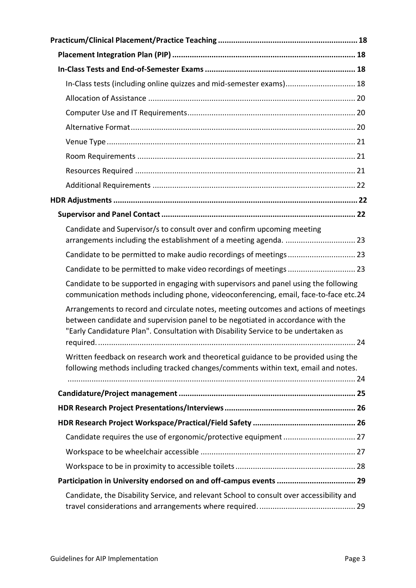| In-Class tests (including online quizzes and mid-semester exams) 18                                                                                                                                                                                           |  |
|---------------------------------------------------------------------------------------------------------------------------------------------------------------------------------------------------------------------------------------------------------------|--|
|                                                                                                                                                                                                                                                               |  |
|                                                                                                                                                                                                                                                               |  |
|                                                                                                                                                                                                                                                               |  |
|                                                                                                                                                                                                                                                               |  |
|                                                                                                                                                                                                                                                               |  |
|                                                                                                                                                                                                                                                               |  |
|                                                                                                                                                                                                                                                               |  |
|                                                                                                                                                                                                                                                               |  |
|                                                                                                                                                                                                                                                               |  |
| Candidate and Supervisor/s to consult over and confirm upcoming meeting<br>arrangements including the establishment of a meeting agenda.  23                                                                                                                  |  |
|                                                                                                                                                                                                                                                               |  |
| Candidate to be permitted to make video recordings of meetings  23                                                                                                                                                                                            |  |
| Candidate to be supported in engaging with supervisors and panel using the following<br>communication methods including phone, videoconferencing, email, face-to-face etc.24                                                                                  |  |
| Arrangements to record and circulate notes, meeting outcomes and actions of meetings<br>between candidate and supervision panel to be negotiated in accordance with the<br>"Early Candidature Plan". Consultation with Disability Service to be undertaken as |  |
|                                                                                                                                                                                                                                                               |  |
| Written feedback on research work and theoretical guidance to be provided using the<br>following methods including tracked changes/comments within text, email and notes.                                                                                     |  |
|                                                                                                                                                                                                                                                               |  |
|                                                                                                                                                                                                                                                               |  |
|                                                                                                                                                                                                                                                               |  |
|                                                                                                                                                                                                                                                               |  |
|                                                                                                                                                                                                                                                               |  |
|                                                                                                                                                                                                                                                               |  |
|                                                                                                                                                                                                                                                               |  |
|                                                                                                                                                                                                                                                               |  |
| Candidate, the Disability Service, and relevant School to consult over accessibility and                                                                                                                                                                      |  |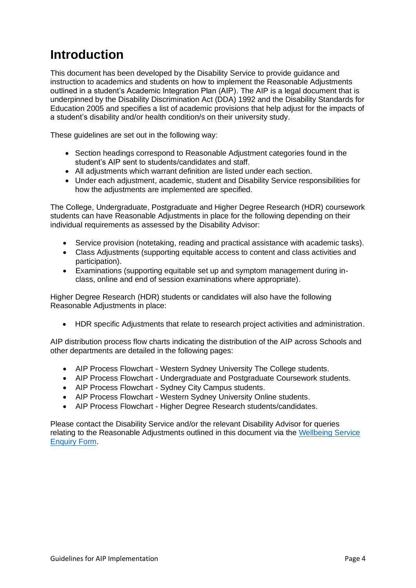# <span id="page-3-0"></span>**Introduction**

This document has been developed by the Disability Service to provide guidance and instruction to academics and students on how to implement the Reasonable Adjustments outlined in a student's Academic Integration Plan (AIP). The AIP is a legal document that is underpinned by the Disability Discrimination Act (DDA) 1992 and the Disability Standards for Education 2005 and specifies a list of academic provisions that help adjust for the impacts of a student's disability and/or health condition/s on their university study.

These guidelines are set out in the following way:

- Section headings correspond to Reasonable Adjustment categories found in the student's AIP sent to students/candidates and staff.
- All adjustments which warrant definition are listed under each section.
- Under each adjustment, academic, student and Disability Service responsibilities for how the adjustments are implemented are specified.

The College, Undergraduate, Postgraduate and Higher Degree Research (HDR) coursework students can have Reasonable Adjustments in place for the following depending on their individual requirements as assessed by the Disability Advisor:

- Service provision (notetaking, reading and practical assistance with academic tasks).
- Class Adjustments (supporting equitable access to content and class activities and participation).
- Examinations (supporting equitable set up and symptom management during inclass, online and end of session examinations where appropriate).

Higher Degree Research (HDR) students or candidates will also have the following Reasonable Adjustments in place:

• HDR specific Adjustments that relate to research project activities and administration.

AIP distribution process flow charts indicating the distribution of the AIP across Schools and other departments are detailed in the following pages:

- AIP Process Flowchart Western Sydney University The College students.
- AIP Process Flowchart Undergraduate and Postgraduate Coursework students.
- AIP Process Flowchart Sydney City Campus students.
- AIP Process Flowchart Western Sydney University Online students.
- AIP Process Flowchart Higher Degree Research students/candidates.

Please contact the Disability Service and/or the relevant Disability Advisor for queries relating to the Reasonable Adjustments outlined in this document via the [Wellbeing Service](https://wsu.service-now.com/student?id=wsu_cat_item&sys_id=f89277521b6f1c90c13a0edddc4bcb61&sysparm_category=a979c5911ba3d490c13a0edddc4bcb26)  [Enquiry Form.](https://wsu.service-now.com/student?id=wsu_cat_item&sys_id=f89277521b6f1c90c13a0edddc4bcb61&sysparm_category=a979c5911ba3d490c13a0edddc4bcb26)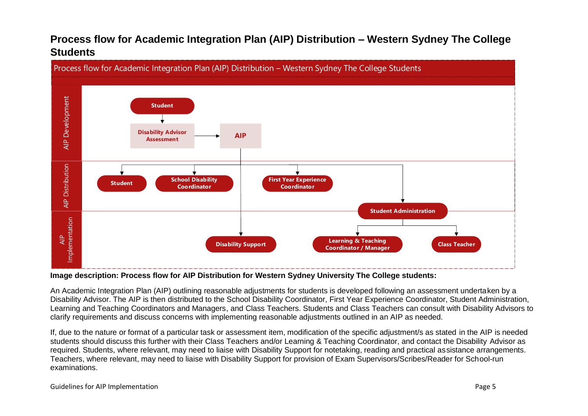### **Process flow for Academic Integration Plan (AIP) Distribution – Western Sydney The College Students**



<span id="page-4-0"></span>**Image description: Process flow for AIP Distribution for Western Sydney University The College students:**

An Academic Integration Plan (AIP) outlining reasonable adjustments for students is developed following an assessment undertaken by a Disability Advisor. The AIP is then distributed to the School Disability Coordinator, First Year Experience Coordinator, Student Administration, Learning and Teaching Coordinators and Managers, and Class Teachers. Students and Class Teachers can consult with Disability Advisors to clarify requirements and discuss concerns with implementing reasonable adjustments outlined in an AIP as needed.

If, due to the nature or format of a particular task or assessment item, modification of the specific adjustment/s as stated in the AIP is needed students should discuss this further with their Class Teachers and/or Learning & Teaching Coordinator, and contact the Disability Advisor as required. Students, where relevant, may need to liaise with Disability Support for notetaking, reading and practical assistance arrangements. Teachers, where relevant, may need to liaise with Disability Support for provision of Exam Supervisors/Scribes/Reader for School-run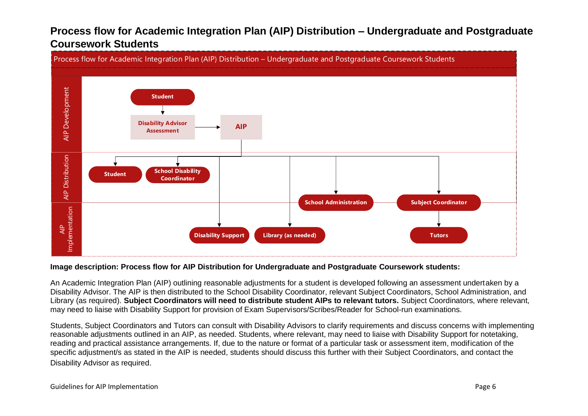### **Process flow for Academic Integration Plan (AIP) Distribution – Undergraduate and Postgraduate Coursework Students**



#### <span id="page-5-0"></span>**Image description: Process flow for AIP Distribution for Undergraduate and Postgraduate Coursework students:**

An Academic Integration Plan (AIP) outlining reasonable adjustments for a student is developed following an assessment undertaken by a Disability Advisor. The AIP is then distributed to the School Disability Coordinator, relevant Subject Coordinators, School Administration, and Library (as required). **Subject Coordinators will need to distribute student AIPs to relevant tutors.** Subject Coordinators, where relevant, may need to liaise with Disability Support for provision of Exam Supervisors/Scribes/Reader for School-run examinations.

Students, Subject Coordinators and Tutors can consult with Disability Advisors to clarify requirements and discuss concerns with implementing reasonable adjustments outlined in an AIP, as needed. Students, where relevant, may need to liaise with Disability Support for notetaking, reading and practical assistance arrangements. If, due to the nature or format of a particular task or assessment item, modification of the specific adjustment/s as stated in the AIP is needed, students should discuss this further with their Subject Coordinators, and contact the Disability Advisor as required.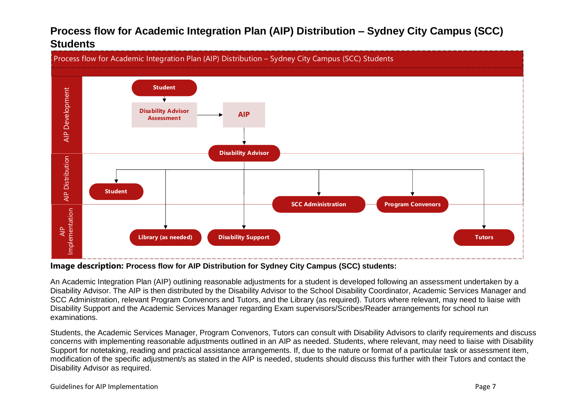### **Process flow for Academic Integration Plan (AIP) Distribution – Sydney City Campus (SCC) Students**



#### <span id="page-6-0"></span>**Image description: Process flow for AIP Distribution for Sydney City Campus (SCC) students:**

An Academic Integration Plan (AIP) outlining reasonable adjustments for a student is developed following an assessment undertaken by a Disability Advisor. The AIP is then distributed by the Disability Advisor to the School Disability Coordinator, Academic Services Manager and SCC Administration, relevant Program Convenors and Tutors, and the Library (as required). Tutors where relevant, may need to liaise with Disability Support and the Academic Services Manager regarding Exam supervisors/Scribes/Reader arrangements for school run examinations.

Students, the Academic Services Manager, Program Convenors, Tutors can consult with Disability Advisors to clarify requirements and discuss concerns with implementing reasonable adjustments outlined in an AIP as needed. Students, where relevant, may need to liaise with Disability Support for notetaking, reading and practical assistance arrangements. If, due to the nature or format of a particular task or assessment item, modification of the specific adjustment/s as stated in the AIP is needed, students should discuss this further with their Tutors and contact the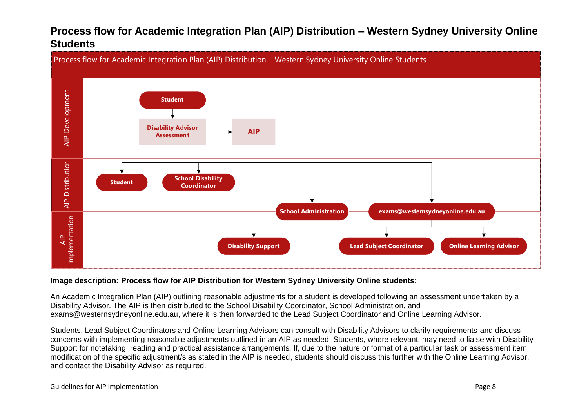### **Process flow for Academic Integration Plan (AIP) Distribution – Western Sydney University Online Students**



#### <span id="page-7-0"></span>**Image description: Process flow for AIP Distribution for Western Sydney University Online students:**

An Academic Integration Plan (AIP) outlining reasonable adjustments for a student is developed following an assessment undertaken by a Disability Advisor. The AIP is then distributed to the School Disability Coordinator, School Administration, and exams@westernsydneyonline.edu.au, where it is then forwarded to the Lead Subject Coordinator and Online Learning Advisor.

Students, Lead Subject Coordinators and Online Learning Advisors can consult with Disability Advisors to clarify requirements and discuss concerns with implementing reasonable adjustments outlined in an AIP as needed. Students, where relevant, may need to liaise with Disability Support for notetaking, reading and practical assistance arrangements. If, due to the nature or format of a particular task or assessment item, modification of the specific adjustment/s as stated in the AIP is needed, students should discuss this further with the Online Learning Advisor,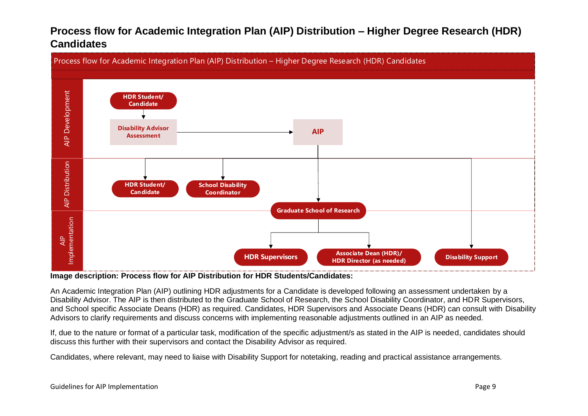### **Process flow for Academic Integration Plan (AIP) Distribution – Higher Degree Research (HDR) Candidates**



<span id="page-8-0"></span>**Image description: Process flow for AIP Distribution for HDR Students/Candidates:**

An Academic Integration Plan (AIP) outlining HDR adjustments for a Candidate is developed following an assessment undertaken by a Disability Advisor. The AIP is then distributed to the Graduate School of Research, the School Disability Coordinator, and HDR Supervisors, and School specific Associate Deans (HDR) as required. Candidates, HDR Supervisors and Associate Deans (HDR) can consult with Disability Advisors to clarify requirements and discuss concerns with implementing reasonable adjustments outlined in an AIP as needed.

If, due to the nature or format of a particular task, modification of the specific adjustment/s as stated in the AIP is needed, candidates should discuss this further with their supervisors and contact the Disability Advisor as required.

Candidates, where relevant, may need to liaise with Disability Support for notetaking, reading and practical assistance arrangements.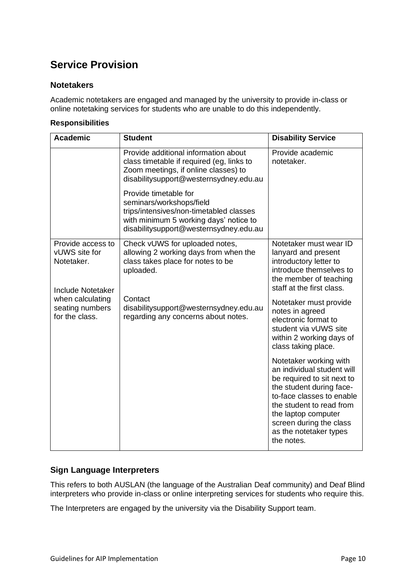### <span id="page-9-0"></span>**Service Provision**

#### <span id="page-9-1"></span>**Notetakers**

Academic notetakers are engaged and managed by the university to provide in-class or online notetaking services for students who are unable to do this independently.

#### **Responsibilities**

| <b>Academic</b>                                                              | <b>Student</b>                                                                                                                                                                   | <b>Disability Service</b>                                                                                                                                                                                                                                         |
|------------------------------------------------------------------------------|----------------------------------------------------------------------------------------------------------------------------------------------------------------------------------|-------------------------------------------------------------------------------------------------------------------------------------------------------------------------------------------------------------------------------------------------------------------|
|                                                                              | Provide additional information about<br>class timetable if required (eg, links to<br>Zoom meetings, if online classes) to<br>disabilitysupport@westernsydney.edu.au              | Provide academic<br>notetaker.                                                                                                                                                                                                                                    |
|                                                                              | Provide timetable for<br>seminars/workshops/field<br>trips/intensives/non-timetabled classes<br>with minimum 5 working days' notice to<br>disabilitysupport@westernsydney.edu.au |                                                                                                                                                                                                                                                                   |
| Provide access to<br>vUWS site for<br>Notetaker.<br><b>Include Notetaker</b> | Check vUWS for uploaded notes,<br>allowing 2 working days from when the<br>class takes place for notes to be<br>uploaded.                                                        | Notetaker must wear ID<br>lanyard and present<br>introductory letter to<br>introduce themselves to<br>the member of teaching<br>staff at the first class.                                                                                                         |
| when calculating<br>seating numbers<br>for the class.                        | Contact<br>disabilitysupport@westernsydney.edu.au<br>regarding any concerns about notes.                                                                                         | Notetaker must provide<br>notes in agreed<br>electronic format to<br>student via vUWS site<br>within 2 working days of<br>class taking place.                                                                                                                     |
|                                                                              |                                                                                                                                                                                  | Notetaker working with<br>an individual student will<br>be required to sit next to<br>the student during face-<br>to-face classes to enable<br>the student to read from<br>the laptop computer<br>screen during the class<br>as the notetaker types<br>the notes. |

#### <span id="page-9-2"></span>**Sign Language Interpreters**

This refers to both AUSLAN (the language of the Australian Deaf community) and Deaf Blind interpreters who provide in-class or online interpreting services for students who require this.

The Interpreters are engaged by the university via the Disability Support team.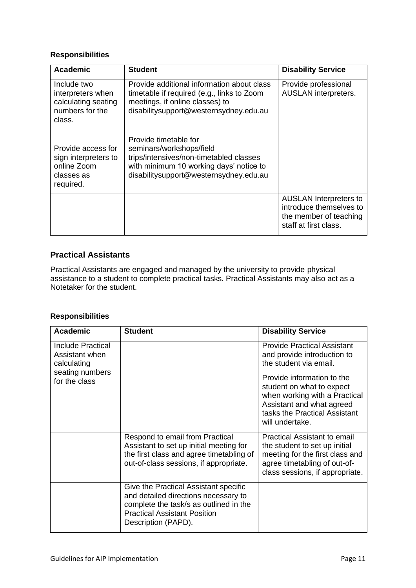| <b>Academic</b>                                                                      | <b>Student</b>                                                                                                                                                                    | <b>Disability Service</b>                                                                                   |
|--------------------------------------------------------------------------------------|-----------------------------------------------------------------------------------------------------------------------------------------------------------------------------------|-------------------------------------------------------------------------------------------------------------|
| Include two<br>interpreters when<br>calculating seating<br>numbers for the<br>class. | Provide additional information about class<br>timetable if required (e.g., links to Zoom<br>meetings, if online classes) to<br>disabilitysupport@westernsydney.edu.au             | Provide professional<br><b>AUSLAN</b> interpreters.                                                         |
| Provide access for<br>sign interpreters to<br>online Zoom<br>classes as<br>required. | Provide timetable for<br>seminars/workshops/field<br>trips/intensives/non-timetabled classes<br>with minimum 10 working days' notice to<br>disabilitysupport@westernsydney.edu.au |                                                                                                             |
|                                                                                      |                                                                                                                                                                                   | <b>AUSLAN</b> Interpreters to<br>introduce themselves to<br>the member of teaching<br>staff at first class. |

#### <span id="page-10-0"></span>**Practical Assistants**

Practical Assistants are engaged and managed by the university to provide physical assistance to a student to complete practical tasks. Practical Assistants may also act as a Notetaker for the student.

| Academic                                                                     | <b>Student</b>                                                                                                                                                                        | <b>Disability Service</b>                                                                                                                                                  |
|------------------------------------------------------------------------------|---------------------------------------------------------------------------------------------------------------------------------------------------------------------------------------|----------------------------------------------------------------------------------------------------------------------------------------------------------------------------|
| <b>Include Practical</b><br>Assistant when<br>calculating<br>seating numbers |                                                                                                                                                                                       | <b>Provide Practical Assistant</b><br>and provide introduction to<br>the student via email.                                                                                |
| for the class                                                                |                                                                                                                                                                                       | Provide information to the<br>student on what to expect<br>when working with a Practical<br>Assistant and what agreed<br>tasks the Practical Assistant<br>will undertake.  |
|                                                                              | Respond to email from Practical<br>Assistant to set up initial meeting for<br>the first class and agree timetabling of<br>out-of-class sessions, if appropriate.                      | <b>Practical Assistant to email</b><br>the student to set up initial<br>meeting for the first class and<br>agree timetabling of out-of-<br>class sessions, if appropriate. |
|                                                                              | Give the Practical Assistant specific<br>and detailed directions necessary to<br>complete the task/s as outlined in the<br><b>Practical Assistant Position</b><br>Description (PAPD). |                                                                                                                                                                            |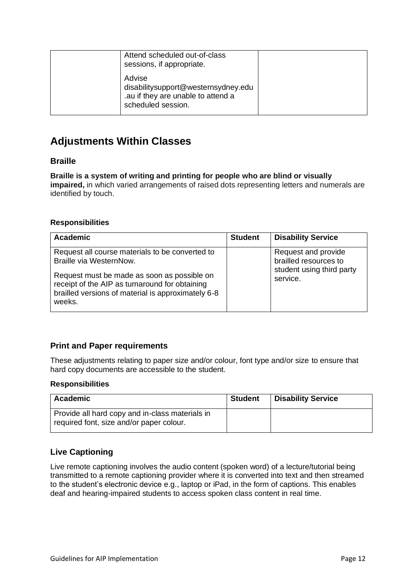| Attend scheduled out-of-class<br>sessions, if appropriate.                                                |  |
|-----------------------------------------------------------------------------------------------------------|--|
| Advise<br>disabilitysupport@westernsydney.edu<br>.au if they are unable to attend a<br>scheduled session. |  |

### <span id="page-11-0"></span>**Adjustments Within Classes**

#### <span id="page-11-1"></span>**Braille**

**Braille is a system of writing and printing for people who are blind or visually impaired,** in which varied arrangements of raised dots representing letters and numerals are identified by touch.

#### **Responsibilities**

| <b>Academic</b>                                                                                                                                                                                                                             | <b>Student</b> | <b>Disability Service</b>                                                             |
|---------------------------------------------------------------------------------------------------------------------------------------------------------------------------------------------------------------------------------------------|----------------|---------------------------------------------------------------------------------------|
| Request all course materials to be converted to<br>Braille via WesternNow.<br>Request must be made as soon as possible on<br>receipt of the AIP as turnaround for obtaining<br>brailled versions of material is approximately 6-8<br>weeks. |                | Request and provide<br>brailled resources to<br>student using third party<br>service. |

#### <span id="page-11-2"></span>**Print and Paper requirements**

These adjustments relating to paper size and/or colour, font type and/or size to ensure that hard copy documents are accessible to the student.

#### **Responsibilities**

| Academic                                                                                    | Student | <b>Disability Service</b> |
|---------------------------------------------------------------------------------------------|---------|---------------------------|
| Provide all hard copy and in-class materials in<br>required font, size and/or paper colour. |         |                           |

#### <span id="page-11-3"></span>**Live Captioning**

Live remote captioning involves the audio content (spoken word) of a lecture/tutorial being transmitted to a remote captioning provider where it is converted into text and then streamed to the student's electronic device e.g., laptop or iPad, in the form of captions. This enables deaf and hearing-impaired students to access spoken class content in real time.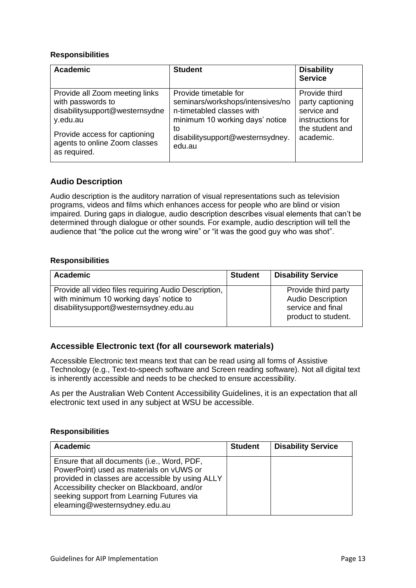| <b>Academic</b>                                                                                                                                                                     | <b>Student</b>                                                                                                                                                                | <b>Disability</b><br><b>Service</b>                                                                  |
|-------------------------------------------------------------------------------------------------------------------------------------------------------------------------------------|-------------------------------------------------------------------------------------------------------------------------------------------------------------------------------|------------------------------------------------------------------------------------------------------|
| Provide all Zoom meeting links<br>with passwords to<br>disabilitysupport@westernsydne<br>y.edu.au<br>Provide access for captioning<br>agents to online Zoom classes<br>as required. | Provide timetable for<br>seminars/workshops/intensives/no<br>n-timetabled classes with<br>minimum 10 working days' notice<br>to<br>disabilitysupport@westernsydney.<br>edu.au | Provide third<br>party captioning<br>service and<br>instructions for<br>the student and<br>academic. |

#### <span id="page-12-0"></span>**Audio Description**

Audio description is the auditory narration of visual representations such as television programs, videos and films which enhances access for people who are blind or vision impaired. During gaps in dialogue, audio description describes visual elements that can't be determined through dialogue or other sounds. For example, audio description will tell the audience that "the police cut the wrong wire" or "it was the good guy who was shot"*.*

#### **Responsibilities**

| Academic                                                                                                                                  | <b>Student</b> | <b>Disability Service</b>                                                                   |
|-------------------------------------------------------------------------------------------------------------------------------------------|----------------|---------------------------------------------------------------------------------------------|
| Provide all video files requiring Audio Description,<br>with minimum 10 working days' notice to<br>disabilitysupport@westernsydney.edu.au |                | Provide third party<br><b>Audio Description</b><br>service and final<br>product to student. |

#### <span id="page-12-1"></span>**Accessible Electronic text (for all coursework materials)**

Accessible Electronic text means text that can be read using all forms of Assistive Technology (e.g., Text-to-speech software and Screen reading software). Not all digital text is inherently accessible and needs to be checked to ensure accessibility.

As per the Australian [Web Content Accessibility Guidelines,](https://www.w3.org/TR/WCAG20/) it is an expectation that all electronic text used in any subject at WSU be accessible.

| Academic                                                                                                                                                                                                                                                                  | <b>Student</b> | <b>Disability Service</b> |
|---------------------------------------------------------------------------------------------------------------------------------------------------------------------------------------------------------------------------------------------------------------------------|----------------|---------------------------|
| Ensure that all documents (i.e., Word, PDF,<br>PowerPoint) used as materials on vUWS or<br>provided in classes are accessible by using ALLY<br>Accessibility checker on Blackboard, and/or<br>seeking support from Learning Futures via<br>elearning@westernsydney.edu.au |                |                           |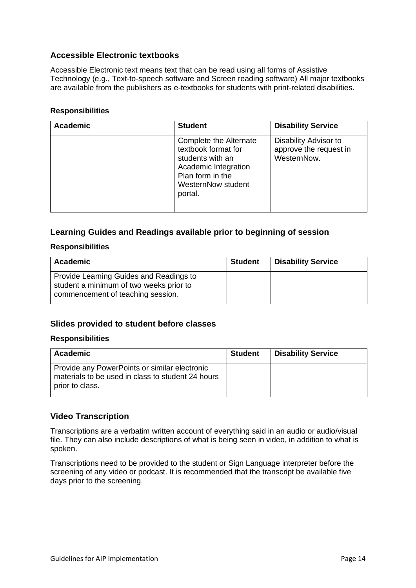#### <span id="page-13-0"></span>**Accessible Electronic textbooks**

Accessible Electronic text means text that can be read using all forms of Assistive Technology (e.g., Text-to-speech software and Screen reading software) All major textbooks are available from the publishers as e-textbooks for students with print-related disabilities.

#### **Responsibilities**

| <b>Academic</b> | <b>Student</b>                                                                                                                                 | <b>Disability Service</b>                                      |
|-----------------|------------------------------------------------------------------------------------------------------------------------------------------------|----------------------------------------------------------------|
|                 | Complete the Alternate<br>textbook format for<br>students with an<br>Academic Integration<br>Plan form in the<br>WesternNow student<br>portal. | Disability Advisor to<br>approve the request in<br>WesternNow. |

#### <span id="page-13-1"></span>**Learning Guides and Readings available prior to beginning of session**

#### **Responsibilities**

| <b>Academic</b>                                                                                                         | <b>Student</b> | <b>Disability Service</b> |
|-------------------------------------------------------------------------------------------------------------------------|----------------|---------------------------|
| Provide Learning Guides and Readings to<br>student a minimum of two weeks prior to<br>commencement of teaching session. |                |                           |

#### <span id="page-13-2"></span>**Slides provided to student before classes**

#### **Responsibilities**

| Academic                                                                                                              | <b>Student</b> | <b>Disability Service</b> |
|-----------------------------------------------------------------------------------------------------------------------|----------------|---------------------------|
| Provide any PowerPoints or similar electronic<br>materials to be used in class to student 24 hours<br>prior to class. |                |                           |

#### <span id="page-13-3"></span>**Video Transcription**

Transcriptions are a verbatim written account of everything said in an audio or audio/visual file. They can also include descriptions of what is being seen in video, in addition to what is spoken.

Transcriptions need to be provided to the student or Sign Language interpreter before the screening of any video or podcast. It is recommended that the transcript be available five days prior to the screening.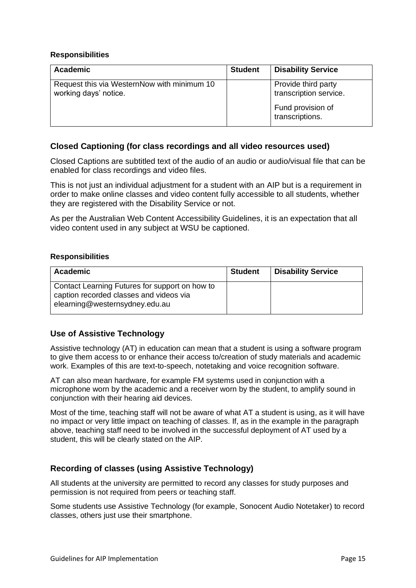| Academic                                                             | <b>Student</b> | <b>Disability Service</b>                     |
|----------------------------------------------------------------------|----------------|-----------------------------------------------|
| Request this via WesternNow with minimum 10<br>working days' notice. |                | Provide third party<br>transcription service. |
|                                                                      |                | Fund provision of<br>transcriptions.          |

#### <span id="page-14-0"></span>**Closed Captioning (for class recordings and all video resources used)**

Closed Captions are subtitled text of the audio of an audio or audio/visual file that can be enabled for class recordings and video files.

This is not just an individual adjustment for a student with an AIP but is a requirement in order to make online classes and video content fully accessible to all students, whether they are registered with the Disability Service or not.

As per the Australian [Web Content Accessibility Guidelines,](https://www.w3.org/TR/WCAG20/) it is an expectation that all video content used in any subject at WSU be captioned.

#### **Responsibilities**

| <b>Academic</b>                                                                                                             | <b>Student</b> | <b>Disability Service</b> |
|-----------------------------------------------------------------------------------------------------------------------------|----------------|---------------------------|
| Contact Learning Futures for support on how to<br>caption recorded classes and videos via<br>elearning@westernsydney.edu.au |                |                           |

#### <span id="page-14-1"></span>**Use of Assistive Technology**

Assistive technology (AT) in education can mean that a student is using a software program to give them access to or enhance their access to/creation of study materials and academic work. Examples of this are [text-to-speech,](https://www.westernsydney.edu.au/assistive-technology/assistive_technology/training_and_support_resources/texthelp_read_and_write) [notetaking](https://www.westernsydney.edu.au/assistive-technology/assistive_technology/training_and_support_resources/sonocent_audio_notetaker) and [voice recognition](https://www.westernsydney.edu.au/assistive-technology/assistive_technology/training_and_support_resources/dragon_professional) software.

AT can also mean hardware, for example FM systems used in conjunction with a microphone worn by the academic and a receiver worn by the student, to amplify sound in conjunction with their hearing aid devices.

Most of the time, teaching staff will not be aware of what AT a student is using, as it will have no impact or very little impact on teaching of classes. If, as in the example in the paragraph above, teaching staff need to be involved in the successful deployment of AT used by a student, this will be clearly stated on the AIP.

#### <span id="page-14-2"></span>**Recording of classes (using Assistive Technology)**

All students at the university are permitted to record any classes for study purposes and permission is not required from peers or teaching staff.

Some students use Assistive Technology (for example, [Sonocent Audio Notetaker\)](https://www.westernsydney.edu.au/assistive-technology/assistive_technology/training_and_support_resources/sonocent_audio_notetaker) to record classes, others just use their smartphone.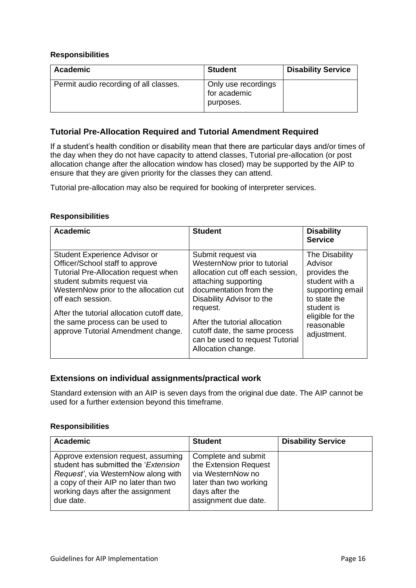| <b>Disability Service</b> |
|---------------------------|
| Only use recordings       |
|                           |

#### <span id="page-15-0"></span>**Tutorial Pre-Allocation Required and Tutorial Amendment Required**

If a student's health condition or disability mean that there are particular days and/or times of the day when they do not have capacity to attend classes, Tutorial pre-allocation (or post allocation change after the allocation window has closed) may be supported by the AIP to ensure that they are given priority for the classes they can attend.

Tutorial pre-allocation may also be required for booking of interpreter services.

#### **Responsibilities**

| <b>Academic</b>                                                                                                                                                                                                                                                                                                               | <b>Student</b>                                                                                                                                                                                                                                                                                               | <b>Disability</b><br><b>Service</b>                                                                                                                            |
|-------------------------------------------------------------------------------------------------------------------------------------------------------------------------------------------------------------------------------------------------------------------------------------------------------------------------------|--------------------------------------------------------------------------------------------------------------------------------------------------------------------------------------------------------------------------------------------------------------------------------------------------------------|----------------------------------------------------------------------------------------------------------------------------------------------------------------|
| Student Experience Advisor or<br>Officer/School staff to approve<br>Tutorial Pre-Allocation request when<br>student submits request via<br>WesternNow prior to the allocation cut<br>off each session.<br>After the tutorial allocation cutoff date,<br>the same process can be used to<br>approve Tutorial Amendment change. | Submit request via<br>WesternNow prior to tutorial<br>allocation cut off each session,<br>attaching supporting<br>documentation from the<br>Disability Advisor to the<br>request.<br>After the tutorial allocation<br>cutoff date, the same process<br>can be used to request Tutorial<br>Allocation change. | The Disability<br>Advisor<br>provides the<br>student with a<br>supporting email<br>to state the<br>student is<br>eligible for the<br>reasonable<br>adjustment. |

#### <span id="page-15-1"></span>**Extensions on individual assignments/practical work**

Standard extension with an AIP is seven days from the original due date. The AIP cannot be used for a further extension beyond this timeframe.

| Academic                                                                                                                                                                                                      | <b>Student</b>                                                                                                                        | <b>Disability Service</b> |
|---------------------------------------------------------------------------------------------------------------------------------------------------------------------------------------------------------------|---------------------------------------------------------------------------------------------------------------------------------------|---------------------------|
| Approve extension request, assuming<br>student has submitted the 'Extension<br>Request', via WesternNow along with<br>a copy of their AIP no later than two<br>working days after the assignment<br>due date. | Complete and submit<br>the Extension Request<br>via WesternNow no<br>later than two working<br>days after the<br>assignment due date. |                           |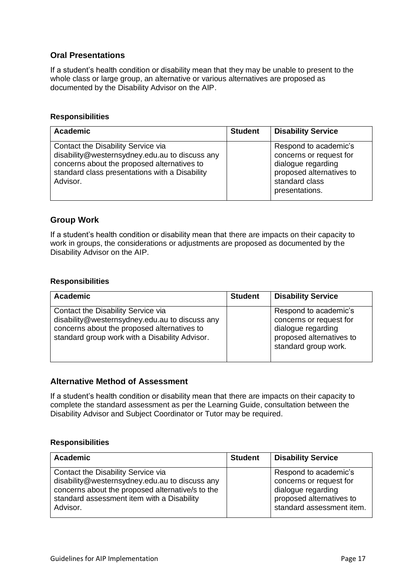#### <span id="page-16-0"></span>**Oral Presentations**

If a student's health condition or disability mean that they may be unable to present to the whole class or large group, an alternative or various alternatives are proposed as documented by the Disability Advisor on the AIP.

#### **Responsibilities**

| Academic                                                                                                                                                                                          | <b>Student</b> | <b>Disability Service</b>                                                                                                              |
|---------------------------------------------------------------------------------------------------------------------------------------------------------------------------------------------------|----------------|----------------------------------------------------------------------------------------------------------------------------------------|
| Contact the Disability Service via<br>disability@westernsydney.edu.au to discuss any<br>concerns about the proposed alternatives to<br>standard class presentations with a Disability<br>Advisor. |                | Respond to academic's<br>concerns or request for<br>dialogue regarding<br>proposed alternatives to<br>standard class<br>presentations. |

#### <span id="page-16-1"></span>**Group Work**

If a student's health condition or disability mean that there are impacts on their capacity to work in groups, the considerations or adjustments are proposed as documented by the Disability Advisor on the AIP.

#### **Responsibilities**

| <b>Academic</b>                                                                                                                                                                       | <b>Student</b> | <b>Disability Service</b>                                                                                                  |
|---------------------------------------------------------------------------------------------------------------------------------------------------------------------------------------|----------------|----------------------------------------------------------------------------------------------------------------------------|
| Contact the Disability Service via<br>disability@westernsydney.edu.au to discuss any<br>concerns about the proposed alternatives to<br>standard group work with a Disability Advisor. |                | Respond to academic's<br>concerns or request for<br>dialogue regarding<br>proposed alternatives to<br>standard group work. |

#### <span id="page-16-2"></span>**Alternative Method of Assessment**

If a student's health condition or disability mean that there are impacts on their capacity to complete the standard assessment as per the Learning Guide, consultation between the Disability Advisor and Subject Coordinator or Tutor may be required.

| Academic                                                                                                                                                                                           | <b>Student</b> | <b>Disability Service</b>                                                                                                       |
|----------------------------------------------------------------------------------------------------------------------------------------------------------------------------------------------------|----------------|---------------------------------------------------------------------------------------------------------------------------------|
| Contact the Disability Service via<br>disability@westernsydney.edu.au to discuss any<br>concerns about the proposed alternative/s to the<br>standard assessment item with a Disability<br>Advisor. |                | Respond to academic's<br>concerns or request for<br>dialogue regarding<br>proposed alternatives to<br>standard assessment item. |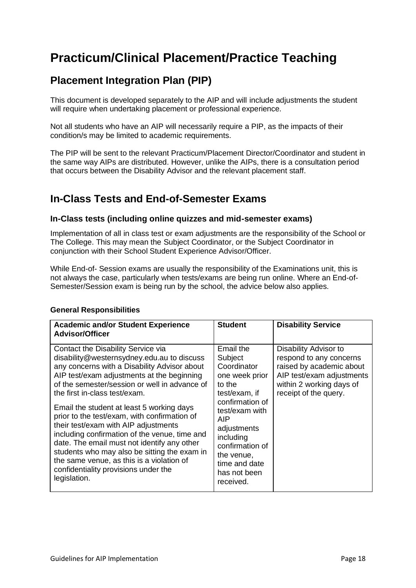# <span id="page-17-0"></span>**Practicum/Clinical Placement/Practice Teaching**

### <span id="page-17-1"></span>**Placement Integration Plan (PIP)**

This document is developed separately to the AIP and will include adjustments the student will require when undertaking placement or professional experience.

Not all students who have an AIP will necessarily require a PIP, as the impacts of their condition/s may be limited to academic requirements.

The PIP will be sent to the relevant Practicum/Placement Director/Coordinator and student in the same way AIPs are distributed. However, unlike the AIPs, there is a consultation period that occurs between the Disability Advisor and the relevant placement staff.

### <span id="page-17-2"></span>**In-Class Tests and End-of-Semester Exams**

#### <span id="page-17-3"></span>**In-Class tests (including online quizzes and mid-semester exams)**

Implementation of all in class test or exam adjustments are the responsibility of the School or The College. This may mean the Subject Coordinator, or the Subject Coordinator in conjunction with their School Student Experience Advisor/Officer.

While End-of- Session exams are usually the responsibility of the Examinations unit, this is not always the case, particularly when tests/exams are being run online. Where an End-of-Semester/Session exam is being run by the school, the advice below also applies.

| <b>Academic and/or Student Experience</b><br><b>Advisor/Officer</b>                                                                                                                                                                                                                                                                                                                                                                                                                                                                                                                                                                                        | <b>Student</b>                                                                                                                                                                                                                          | <b>Disability Service</b>                                                                                                                                      |
|------------------------------------------------------------------------------------------------------------------------------------------------------------------------------------------------------------------------------------------------------------------------------------------------------------------------------------------------------------------------------------------------------------------------------------------------------------------------------------------------------------------------------------------------------------------------------------------------------------------------------------------------------------|-----------------------------------------------------------------------------------------------------------------------------------------------------------------------------------------------------------------------------------------|----------------------------------------------------------------------------------------------------------------------------------------------------------------|
| Contact the Disability Service via<br>disability@westernsydney.edu.au to discuss<br>any concerns with a Disability Advisor about<br>AIP test/exam adjustments at the beginning<br>of the semester/session or well in advance of<br>the first in-class test/exam.<br>Email the student at least 5 working days<br>prior to the test/exam, with confirmation of<br>their test/exam with AIP adjustments<br>including confirmation of the venue, time and<br>date. The email must not identify any other<br>students who may also be sitting the exam in<br>the same venue, as this is a violation of<br>confidentiality provisions under the<br>legislation. | Email the<br>Subject<br>Coordinator<br>one week prior<br>to the<br>test/exam, if<br>confirmation of<br>test/exam with<br>AIP<br>adjustments<br>including<br>confirmation of<br>the venue,<br>time and date<br>has not been<br>received. | Disability Advisor to<br>respond to any concerns<br>raised by academic about<br>AIP test/exam adjustments<br>within 2 working days of<br>receipt of the query. |
|                                                                                                                                                                                                                                                                                                                                                                                                                                                                                                                                                                                                                                                            |                                                                                                                                                                                                                                         |                                                                                                                                                                |

#### **General Responsibilities**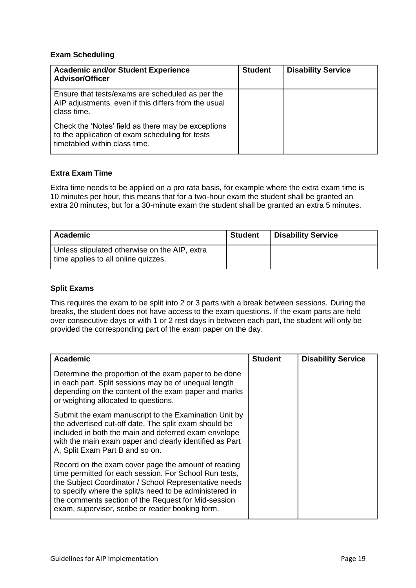#### **Exam Scheduling**

| <b>Academic and/or Student Experience</b><br><b>Advisor/Officer</b>                                                                    | <b>Student</b> | <b>Disability Service</b> |
|----------------------------------------------------------------------------------------------------------------------------------------|----------------|---------------------------|
| Ensure that tests/exams are scheduled as per the<br>AIP adjustments, even if this differs from the usual<br>class time.                |                |                           |
| Check the 'Notes' field as there may be exceptions<br>to the application of exam scheduling for tests<br>timetabled within class time. |                |                           |

#### **Extra Exam Time**

Extra time needs to be applied on a pro rata basis, for example where the extra exam time is 10 minutes per hour, this means that for a two-hour exam the student shall be granted an extra 20 minutes, but for a 30-minute exam the student shall be granted an extra 5 minutes.

| Academic                                                                             | <b>Student</b> | <b>Disability Service</b> |
|--------------------------------------------------------------------------------------|----------------|---------------------------|
| Unless stipulated otherwise on the AIP, extra<br>time applies to all online quizzes. |                |                           |

#### **Split Exams**

This requires the exam to be split into 2 or 3 parts with a break between sessions. During the breaks, the student does not have access to the exam questions. If the exam parts are held over consecutive days or with 1 or 2 rest days in between each part, the student will only be provided the corresponding part of the exam paper on the day.

| <b>Academic</b>                                                                                                                                                                                                                                                                                                                              | <b>Student</b> | <b>Disability Service</b> |
|----------------------------------------------------------------------------------------------------------------------------------------------------------------------------------------------------------------------------------------------------------------------------------------------------------------------------------------------|----------------|---------------------------|
| Determine the proportion of the exam paper to be done<br>in each part. Split sessions may be of unequal length<br>depending on the content of the exam paper and marks<br>or weighting allocated to questions.                                                                                                                               |                |                           |
| Submit the exam manuscript to the Examination Unit by<br>the advertised cut-off date. The split exam should be<br>included in both the main and deferred exam envelope<br>with the main exam paper and clearly identified as Part<br>A, Split Exam Part B and so on.                                                                         |                |                           |
| Record on the exam cover page the amount of reading<br>time permitted for each session. For School Run tests,<br>the Subject Coordinator / School Representative needs<br>to specify where the split/s need to be administered in<br>the comments section of the Request for Mid-session<br>exam, supervisor, scribe or reader booking form. |                |                           |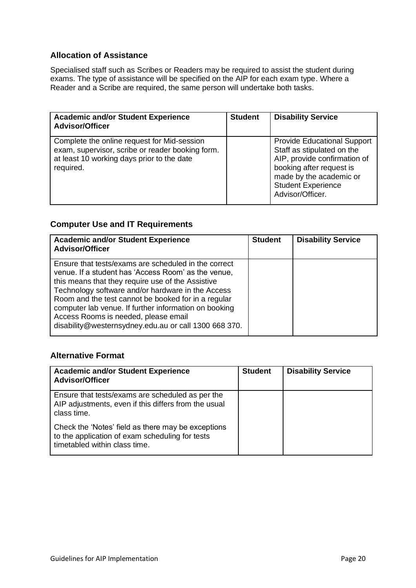#### <span id="page-19-0"></span>**Allocation of Assistance**

Specialised staff such as Scribes or Readers may be required to assist the student during exams. The type of assistance will be specified on the AIP for each exam type. Where a Reader and a Scribe are required, the same person will undertake both tasks.

| <b>Academic and/or Student Experience</b><br><b>Advisor/Officer</b>                                                                                        | <b>Student</b> | <b>Disability Service</b>                                                                                                                                                                                |
|------------------------------------------------------------------------------------------------------------------------------------------------------------|----------------|----------------------------------------------------------------------------------------------------------------------------------------------------------------------------------------------------------|
| Complete the online request for Mid-session<br>exam, supervisor, scribe or reader booking form.<br>at least 10 working days prior to the date<br>required. |                | <b>Provide Educational Support</b><br>Staff as stipulated on the<br>AIP, provide confirmation of<br>booking after request is<br>made by the academic or<br><b>Student Experience</b><br>Advisor/Officer. |

#### <span id="page-19-1"></span>**Computer Use and IT Requirements**

| <b>Academic and/or Student Experience</b><br><b>Advisor/Officer</b>                                                                                                                                                                                                                                                                                                                                                                    | <b>Student</b> | <b>Disability Service</b> |
|----------------------------------------------------------------------------------------------------------------------------------------------------------------------------------------------------------------------------------------------------------------------------------------------------------------------------------------------------------------------------------------------------------------------------------------|----------------|---------------------------|
| Ensure that tests/exams are scheduled in the correct<br>venue. If a student has 'Access Room' as the venue,<br>this means that they require use of the Assistive<br>Technology software and/or hardware in the Access<br>Room and the test cannot be booked for in a regular<br>computer lab venue. If further information on booking<br>Access Rooms is needed, please email<br>disability@westernsydney.edu.au or call 1300 668 370. |                |                           |

#### <span id="page-19-2"></span>**Alternative Format**

| <b>Academic and/or Student Experience</b><br><b>Advisor/Officer</b>                                                                    | <b>Student</b> | <b>Disability Service</b> |
|----------------------------------------------------------------------------------------------------------------------------------------|----------------|---------------------------|
| Ensure that tests/exams are scheduled as per the<br>AIP adjustments, even if this differs from the usual<br>class time.                |                |                           |
| Check the 'Notes' field as there may be exceptions<br>to the application of exam scheduling for tests<br>timetabled within class time. |                |                           |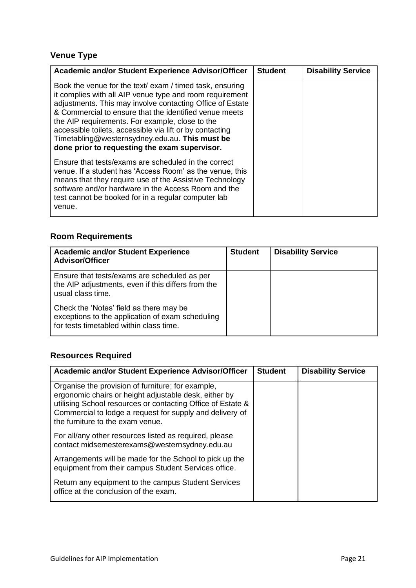### <span id="page-20-0"></span>**Venue Type**

| Academic and/or Student Experience Advisor/Officer                                                                                                                                                                                                                                                                                                                                                                                                            | <b>Student</b> | <b>Disability Service</b> |
|---------------------------------------------------------------------------------------------------------------------------------------------------------------------------------------------------------------------------------------------------------------------------------------------------------------------------------------------------------------------------------------------------------------------------------------------------------------|----------------|---------------------------|
| Book the venue for the text/ exam / timed task, ensuring<br>it complies with all AIP venue type and room requirement<br>adjustments. This may involve contacting Office of Estate<br>& Commercial to ensure that the identified venue meets<br>the AIP requirements. For example, close to the<br>accessible toilets, accessible via lift or by contacting<br>Timetabling@westernsydney.edu.au. This must be<br>done prior to requesting the exam supervisor. |                |                           |
| Ensure that tests/exams are scheduled in the correct<br>venue. If a student has 'Access Room' as the venue, this<br>means that they require use of the Assistive Technology<br>software and/or hardware in the Access Room and the<br>test cannot be booked for in a regular computer lab<br>venue.                                                                                                                                                           |                |                           |

### <span id="page-20-1"></span>**Room Requirements**

| <b>Academic and/or Student Experience</b><br><b>Advisor/Officer</b>                                                                    | <b>Student</b> | <b>Disability Service</b> |
|----------------------------------------------------------------------------------------------------------------------------------------|----------------|---------------------------|
| Ensure that tests/exams are scheduled as per<br>the AIP adjustments, even if this differs from the<br>usual class time.                |                |                           |
| Check the 'Notes' field as there may be<br>exceptions to the application of exam scheduling<br>for tests timetabled within class time. |                |                           |

### <span id="page-20-2"></span>**Resources Required**

| <b>Academic and/or Student Experience Advisor/Officer</b>                                                                                                                                                                                                                 | <b>Student</b> | <b>Disability Service</b> |
|---------------------------------------------------------------------------------------------------------------------------------------------------------------------------------------------------------------------------------------------------------------------------|----------------|---------------------------|
| Organise the provision of furniture; for example,<br>ergonomic chairs or height adjustable desk, either by<br>utilising School resources or contacting Office of Estate &<br>Commercial to lodge a request for supply and delivery of<br>the furniture to the exam venue. |                |                           |
| For all/any other resources listed as required, please<br>contact midsemesterexams@westernsydney.edu.au                                                                                                                                                                   |                |                           |
| Arrangements will be made for the School to pick up the<br>equipment from their campus Student Services office.                                                                                                                                                           |                |                           |
| Return any equipment to the campus Student Services<br>office at the conclusion of the exam.                                                                                                                                                                              |                |                           |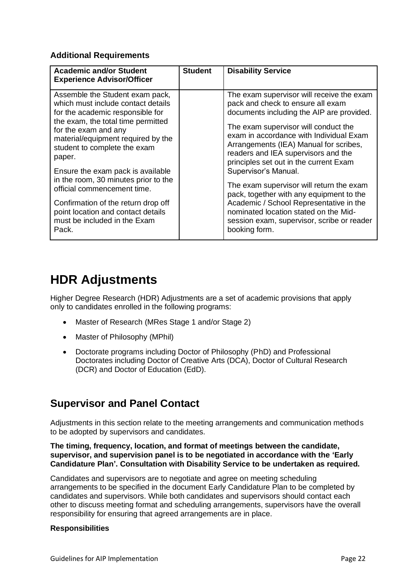#### <span id="page-21-0"></span>**Additional Requirements**

| <b>Academic and/or Student</b><br><b>Experience Advisor/Officer</b>                                                                                                                                                                                                                                                                                                                                                                                                              | <b>Student</b> | <b>Disability Service</b>                                                                                                                                                                                                                                                                                                                                                                                                                                                                                                                                                                   |
|----------------------------------------------------------------------------------------------------------------------------------------------------------------------------------------------------------------------------------------------------------------------------------------------------------------------------------------------------------------------------------------------------------------------------------------------------------------------------------|----------------|---------------------------------------------------------------------------------------------------------------------------------------------------------------------------------------------------------------------------------------------------------------------------------------------------------------------------------------------------------------------------------------------------------------------------------------------------------------------------------------------------------------------------------------------------------------------------------------------|
| Assemble the Student exam pack,<br>which must include contact details<br>for the academic responsible for<br>the exam, the total time permitted<br>for the exam and any<br>material/equipment required by the<br>student to complete the exam<br>paper.<br>Ensure the exam pack is available<br>in the room, 30 minutes prior to the<br>official commencement time.<br>Confirmation of the return drop off<br>point location and contact details<br>must be included in the Exam |                | The exam supervisor will receive the exam<br>pack and check to ensure all exam<br>documents including the AIP are provided.<br>The exam supervisor will conduct the<br>exam in accordance with Individual Exam<br>Arrangements (IEA) Manual for scribes,<br>readers and IEA supervisors and the<br>principles set out in the current Exam<br>Supervisor's Manual.<br>The exam supervisor will return the exam<br>pack, together with any equipment to the<br>Academic / School Representative in the<br>nominated location stated on the Mid-<br>session exam, supervisor, scribe or reader |
| Pack.                                                                                                                                                                                                                                                                                                                                                                                                                                                                            |                | booking form.                                                                                                                                                                                                                                                                                                                                                                                                                                                                                                                                                                               |

## <span id="page-21-1"></span>**HDR Adjustments**

Higher Degree Research (HDR) Adjustments are a set of academic provisions that apply only to candidates enrolled in the following programs:

- Master of Research (MRes Stage 1 and/or Stage 2)
- Master of Philosophy (MPhil)
- Doctorate programs including Doctor of Philosophy (PhD) and Professional Doctorates including Doctor of Creative Arts (DCA), Doctor of Cultural Research (DCR) and Doctor of Education (EdD).

### <span id="page-21-2"></span>**Supervisor and Panel Contact**

Adjustments in this section relate to the meeting arrangements and communication methods to be adopted by supervisors and candidates.

**The timing, frequency, location, and format of meetings between the candidate, supervisor, and supervision panel is to be negotiated in accordance with the 'Early Candidature Plan'. Consultation with Disability Service to be undertaken as required.**

Candidates and supervisors are to negotiate and agree on meeting scheduling arrangements to be specified in the document [Early Candidature Plan](https://www.westernsydney.edu.au/__data/assets/pdf_file/0018/103455/Early_Candidature_Plan_Milestone_Form.pdf) to be completed by candidates and supervisors. While both candidates and supervisors should contact each other to discuss meeting format and scheduling arrangements, supervisors have the overall responsibility for ensuring that agreed arrangements are in place.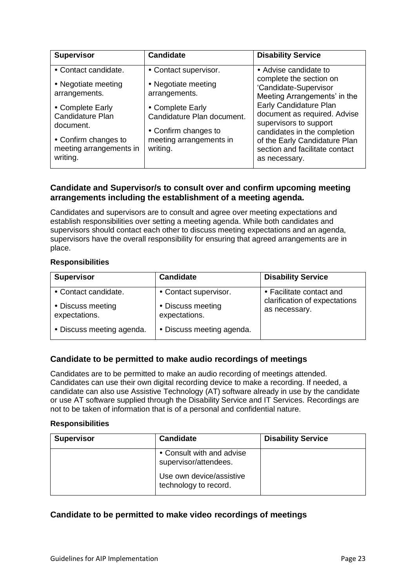| <b>Supervisor</b>                                                                                    | <b>Candidate</b>                                                                                              | <b>Disability Service</b>                                                                                                                                                                                           |
|------------------------------------------------------------------------------------------------------|---------------------------------------------------------------------------------------------------------------|---------------------------------------------------------------------------------------------------------------------------------------------------------------------------------------------------------------------|
| • Contact candidate.<br>• Negotiate meeting<br>arrangements.                                         | • Contact supervisor.<br>• Negotiate meeting<br>arrangements.                                                 | • Advise candidate to<br>complete the section on<br>'Candidate-Supervisor                                                                                                                                           |
| • Complete Early<br>Candidature Plan<br>document.<br>• Confirm changes to<br>meeting arrangements in | • Complete Early<br>Candidature Plan document.<br>• Confirm changes to<br>meeting arrangements in<br>writing. | Meeting Arrangements' in the<br>Early Candidature Plan<br>document as required. Advise<br>supervisors to support<br>candidates in the completion<br>of the Early Candidature Plan<br>section and facilitate contact |
| writing.                                                                                             |                                                                                                               | as necessary.                                                                                                                                                                                                       |

#### <span id="page-22-0"></span>**Candidate and Supervisor/s to consult over and confirm upcoming meeting arrangements including the establishment of a meeting agenda.**

Candidates and supervisors are to consult and agree over meeting expectations and establish responsibilities over setting a meeting agenda. While both candidates and supervisors should contact each other to discuss meeting expectations and an agenda, supervisors have the overall responsibility for ensuring that agreed arrangements are in place.

#### **Responsibilities**

| <b>Supervisor</b>                  | <b>Candidate</b>                   | <b>Disability Service</b>                      |
|------------------------------------|------------------------------------|------------------------------------------------|
| • Contact candidate.               | • Contact supervisor.              | • Facilitate contact and                       |
| • Discuss meeting<br>expectations. | • Discuss meeting<br>expectations. | clarification of expectations<br>as necessary. |
| • Discuss meeting agenda.          | • Discuss meeting agenda.          |                                                |

#### <span id="page-22-1"></span>**Candidate to be permitted to make audio recordings of meetings**

Candidates are to be permitted to make an audio recording of meetings attended. Candidates can use their own digital recording device to make a recording. If needed, a candidate can also use Assistive Technology (AT) software already in use by the candidate or use AT software supplied through the Disability Service and IT Services. Recordings are not to be taken of information that is of a personal and confidential nature.

#### **Responsibilities**

| <b>Supervisor</b> | <b>Candidate</b>                                   | <b>Disability Service</b> |
|-------------------|----------------------------------------------------|---------------------------|
|                   | • Consult with and advise<br>supervisor/attendees. |                           |
|                   | Use own device/assistive<br>technology to record.  |                           |

#### <span id="page-22-2"></span>**Candidate to be permitted to make video recordings of meetings**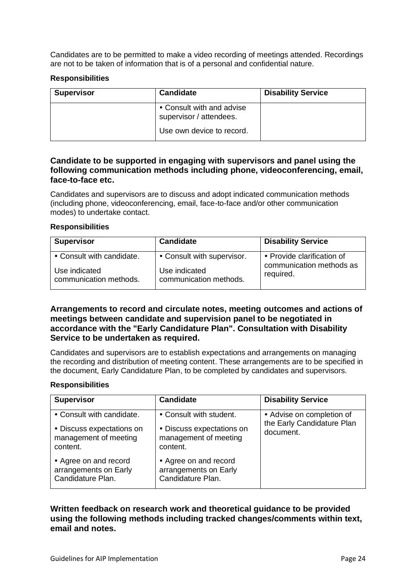Candidates are to be permitted to make a video recording of meetings attended. Recordings are not to be taken of information that is of a personal and confidential nature.

#### **Responsibilities**

| <b>Supervisor</b> | <b>Candidate</b>                                     | <b>Disability Service</b> |
|-------------------|------------------------------------------------------|---------------------------|
|                   | • Consult with and advise<br>supervisor / attendees. |                           |
|                   | Use own device to record.                            |                           |

#### <span id="page-23-0"></span>**Candidate to be supported in engaging with supervisors and panel using the following communication methods including phone, videoconferencing, email, face-to-face etc.**

Candidates and supervisors are to discuss and adopt indicated communication methods (including phone, videoconferencing, email, face-to-face and/or other communication modes) to undertake contact.

#### **Responsibilities**

| <b>Supervisor</b>         | <b>Candidate</b>           | <b>Disability Service</b>  |
|---------------------------|----------------------------|----------------------------|
| • Consult with candidate. | • Consult with supervisor. | • Provide clarification of |
| Use indicated             | Use indicated              | communication methods as   |
| communication methods.    | communication methods.     | required.                  |

#### <span id="page-23-1"></span>**Arrangements to record and circulate notes, meeting outcomes and actions of meetings between candidate and supervision panel to be negotiated in accordance with the "Early Candidature Plan". Consultation with Disability Service to be undertaken as required.**

Candidates and supervisors are to establish expectations and arrangements on managing the recording and distribution of meeting content. These arrangements are to be specified in the document, [Early Candidature Plan,](https://www.westernsydney.edu.au/__data/assets/pdf_file/0018/103455/Early_Candidature_Plan_Milestone_Form.pdf) to be completed by candidates and supervisors.

#### **Responsibilities**

| <b>Supervisor</b>                                                   | <b>Candidate</b>                                                    | <b>Disability Service</b>                               |
|---------------------------------------------------------------------|---------------------------------------------------------------------|---------------------------------------------------------|
| • Consult with candidate.                                           | • Consult with student.                                             | • Advise on completion of<br>the Early Candidature Plan |
| • Discuss expectations on<br>management of meeting<br>content.      | • Discuss expectations on<br>management of meeting<br>content.      | document.                                               |
| • Agree on and record<br>arrangements on Early<br>Candidature Plan. | • Agree on and record<br>arrangements on Early<br>Candidature Plan. |                                                         |

#### <span id="page-23-2"></span>**Written feedback on research work and theoretical guidance to be provided using the following methods including tracked changes/comments within text, email and notes.**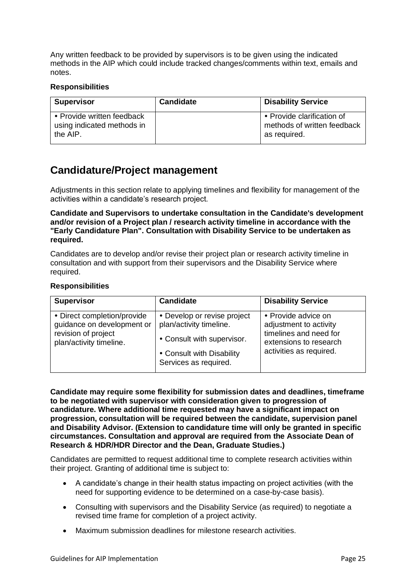Any written feedback to be provided by supervisors is to be given using the indicated methods in the AIP which could include tracked changes/comments within text, emails and notes.

#### **Responsibilities**

| <b>Supervisor</b>                                                    | <b>Candidate</b> | <b>Disability Service</b>                                                 |
|----------------------------------------------------------------------|------------------|---------------------------------------------------------------------------|
| • Provide written feedback<br>using indicated methods in<br>the AIP. |                  | • Provide clarification of<br>methods of written feedback<br>as required. |

### <span id="page-24-0"></span>**Candidature/Project management**

Adjustments in this section relate to applying timelines and flexibility for management of the activities within a candidate's research project.

**Candidate and Supervisors to undertake consultation in the Candidate's development and/or revision of a Project plan / research activity timeline in accordance with the "Early Candidature Plan". Consultation with Disability Service to be undertaken as required.**

Candidates are to develop and/or revise their project plan or research activity timeline in consultation and with support from their supervisors and the Disability Service where required.

#### **Responsibilities**

| <b>Supervisor</b>                                                                                           | <b>Candidate</b>                                                                                                                           | <b>Disability Service</b>                                                                                                    |
|-------------------------------------------------------------------------------------------------------------|--------------------------------------------------------------------------------------------------------------------------------------------|------------------------------------------------------------------------------------------------------------------------------|
| • Direct completion/provide<br>guidance on development or<br>revision of project<br>plan/activity timeline. | • Develop or revise project<br>plan/activity timeline.<br>• Consult with supervisor.<br>• Consult with Disability<br>Services as required. | • Provide advice on<br>adjustment to activity<br>timelines and need for<br>extensions to research<br>activities as required. |

**Candidate may require some flexibility for submission dates and deadlines, timeframe to be negotiated with supervisor with consideration given to progression of candidature. Where additional time requested may have a significant impact on progression, consultation will be required between the candidate, supervision panel and Disability Advisor. (Extension to candidature time will only be granted in specific circumstances. Consultation and approval are required from the Associate Dean of Research & HDR/HDR Director and the Dean, Graduate Studies.)**

Candidates are permitted to request additional time to complete research activities within their project. Granting of additional time is subject to:

- A candidate's change in their health status impacting on project activities (with the need for supporting evidence to be determined on a case-by-case basis).
- Consulting with supervisors and the Disability Service (as required) to negotiate a revised time frame for completion of a project activity.
- Maximum submission deadlines for milestone research activities.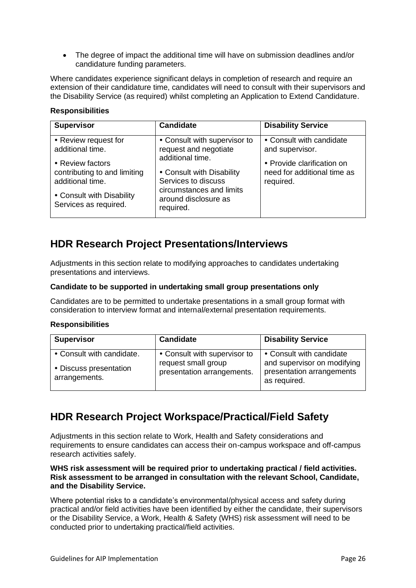• The degree of impact the additional time will have on submission deadlines and/or candidature funding parameters.

Where candidates experience significant delays in completion of research and require an extension of their candidature time, candidates will need to consult with their supervisors and the Disability Service (as required) whilst completing an [Application to Extend Candidature.](https://www.westernsydney.edu.au/__data/assets/pdf_file/0007/68362/00241_0916_Application_to_Extend_Candidature.pdf)

#### **Responsibilities**

| <b>Candidate</b>             | <b>Disability Service</b>                                                                    |
|------------------------------|----------------------------------------------------------------------------------------------|
| • Consult with supervisor to | • Consult with candidate                                                                     |
|                              | and supervisor.                                                                              |
|                              | • Provide clarification on                                                                   |
| • Consult with Disability    | need for additional time as                                                                  |
|                              | required.                                                                                    |
| around disclosure as         |                                                                                              |
| required.                    |                                                                                              |
|                              | request and negotiate<br>additional time.<br>Services to discuss<br>circumstances and limits |

### <span id="page-25-0"></span>**HDR Research Project Presentations/Interviews**

Adjustments in this section relate to modifying approaches to candidates undertaking presentations and interviews.

#### **Candidate to be supported in undertaking small group presentations only**

Candidates are to be permitted to undertake presentations in a small group format with consideration to interview format and internal/external presentation requirements.

#### **Responsibilities**

| <b>Supervisor</b>                                                    | <b>Candidate</b>                                                                  | <b>Disability Service</b>                                                                            |
|----------------------------------------------------------------------|-----------------------------------------------------------------------------------|------------------------------------------------------------------------------------------------------|
| • Consult with candidate.<br>• Discuss presentation<br>arrangements. | • Consult with supervisor to<br>request small group<br>presentation arrangements. | • Consult with candidate<br>and supervisor on modifying<br>presentation arrangements<br>as required. |

### <span id="page-25-1"></span>**HDR Research Project Workspace/Practical/Field Safety**

Adjustments in this section relate to Work, Health and Safety considerations and requirements to ensure candidates can access their on-campus workspace and off-campus research activities safely.

#### **WHS risk assessment will be required prior to undertaking practical / field activities. Risk assessment to be arranged in consultation with the relevant School, Candidate, and the Disability Service.**

Where potential risks to a candidate's environmental/physical access and safety during practical and/or field activities have been identified by either the candidate, their supervisors or the Disability Service, a Work, Health & Safety (WHS) risk assessment will need to be conducted prior to undertaking practical/field activities.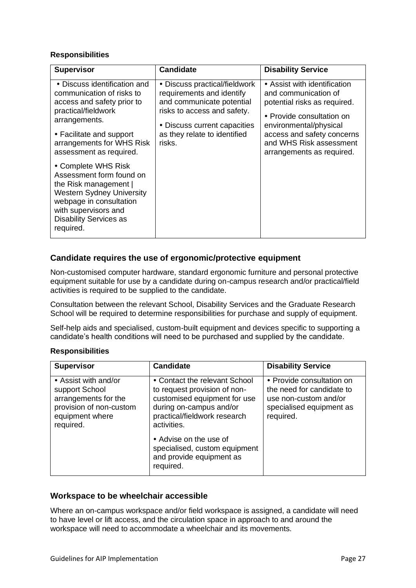| <b>Supervisor</b>                                                                                                                                                                                                   | <b>Candidate</b>                                                                                                                                                                                 | <b>Disability Service</b>                                                                                                                                                                                                         |
|---------------------------------------------------------------------------------------------------------------------------------------------------------------------------------------------------------------------|--------------------------------------------------------------------------------------------------------------------------------------------------------------------------------------------------|-----------------------------------------------------------------------------------------------------------------------------------------------------------------------------------------------------------------------------------|
| • Discuss identification and<br>communication of risks to<br>access and safety prior to<br>practical/fieldwork<br>arrangements.<br>• Facilitate and support<br>arrangements for WHS Risk<br>assessment as required. | • Discuss practical/fieldwork<br>requirements and identify<br>and communicate potential<br>risks to access and safety.<br>• Discuss current capacities<br>as they relate to identified<br>risks. | • Assist with identification<br>and communication of<br>potential risks as required.<br>• Provide consultation on<br>environmental/physical<br>access and safety concerns<br>and WHS Risk assessment<br>arrangements as required. |
| • Complete WHS Risk<br>Assessment form found on<br>the Risk management  <br><b>Western Sydney University</b><br>webpage in consultation<br>with supervisors and<br><b>Disability Services as</b><br>required.       |                                                                                                                                                                                                  |                                                                                                                                                                                                                                   |

#### <span id="page-26-0"></span>**Candidate requires the use of ergonomic/protective equipment**

Non-customised computer hardware, standard ergonomic furniture and personal protective equipment suitable for use by a candidate during on-campus research and/or practical/field activities is required to be supplied to the candidate.

Consultation between the relevant School, Disability Services and the Graduate Research School will be required to determine responsibilities for purchase and supply of equipment.

Self-help aids and specialised, custom-built equipment and devices specific to supporting a candidate's health conditions will need to be purchased and supplied by the candidate.

#### **Responsibilities**

| <b>Supervisor</b>                                                                                                         | <b>Candidate</b>                                                                                                                                                        | <b>Disability Service</b>                                                                                                |
|---------------------------------------------------------------------------------------------------------------------------|-------------------------------------------------------------------------------------------------------------------------------------------------------------------------|--------------------------------------------------------------------------------------------------------------------------|
| • Assist with and/or<br>support School<br>arrangements for the<br>provision of non-custom<br>equipment where<br>required. | • Contact the relevant School<br>to request provision of non-<br>customised equipment for use<br>during on-campus and/or<br>practical/fieldwork research<br>activities. | • Provide consultation on<br>the need for candidate to<br>use non-custom and/or<br>specialised equipment as<br>required. |
|                                                                                                                           | • Advise on the use of<br>specialised, custom equipment<br>and provide equipment as<br>required.                                                                        |                                                                                                                          |

#### <span id="page-26-1"></span>**Workspace to be wheelchair accessible**

Where an on-campus workspace and/or field workspace is assigned, a candidate will need to have level or lift access, and the circulation space in approach to and around the workspace will need to accommodate a wheelchair and its movements.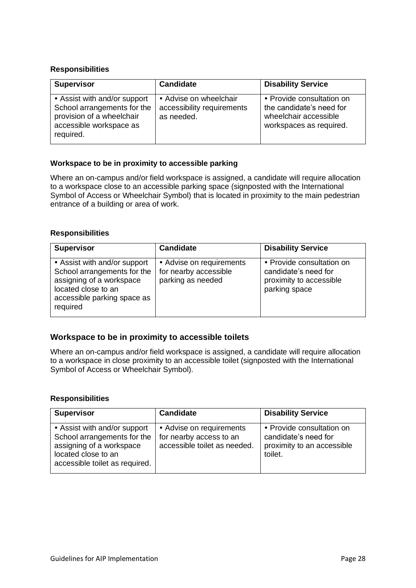| <b>Supervisor</b>                                                                                                                | <b>Candidate</b>                                                   | <b>Disability Service</b>                                                                                 |
|----------------------------------------------------------------------------------------------------------------------------------|--------------------------------------------------------------------|-----------------------------------------------------------------------------------------------------------|
| • Assist with and/or support<br>School arrangements for the<br>provision of a wheelchair<br>accessible workspace as<br>required. | • Advise on wheelchair<br>accessibility requirements<br>as needed. | • Provide consultation on<br>the candidate's need for<br>wheelchair accessible<br>workspaces as required. |

#### **Workspace to be in proximity to accessible parking**

Where an on-campus and/or field workspace is assigned, a candidate will require allocation to a workspace close to an accessible parking space (signposted with the International Symbol of Access or Wheelchair Symbol) that is located in proximity to the main pedestrian entrance of a building or area of work.

#### **Responsibilities**

| <b>Supervisor</b>                                                                                                                                         | <b>Candidate</b>                                                       | <b>Disability Service</b>                                                                     |
|-----------------------------------------------------------------------------------------------------------------------------------------------------------|------------------------------------------------------------------------|-----------------------------------------------------------------------------------------------|
| • Assist with and/or support<br>School arrangements for the<br>assigning of a workspace<br>located close to an<br>accessible parking space as<br>required | • Advise on requirements<br>for nearby accessible<br>parking as needed | • Provide consultation on<br>candidate's need for<br>proximity to accessible<br>parking space |

#### <span id="page-27-0"></span>**Workspace to be in proximity to accessible toilets**

Where an on-campus and/or field workspace is assigned, a candidate will require allocation to a workspace in close proximity to an accessible toilet (signposted with the International Symbol of Access or Wheelchair Symbol).

| <b>Supervisor</b>                                                                                                                                | <b>Candidate</b>                                                                    | <b>Disability Service</b>                                                                  |
|--------------------------------------------------------------------------------------------------------------------------------------------------|-------------------------------------------------------------------------------------|--------------------------------------------------------------------------------------------|
| • Assist with and/or support<br>School arrangements for the<br>assigning of a workspace<br>located close to an<br>accessible toilet as required. | • Advise on requirements<br>for nearby access to an<br>accessible toilet as needed. | • Provide consultation on<br>candidate's need for<br>proximity to an accessible<br>toilet. |